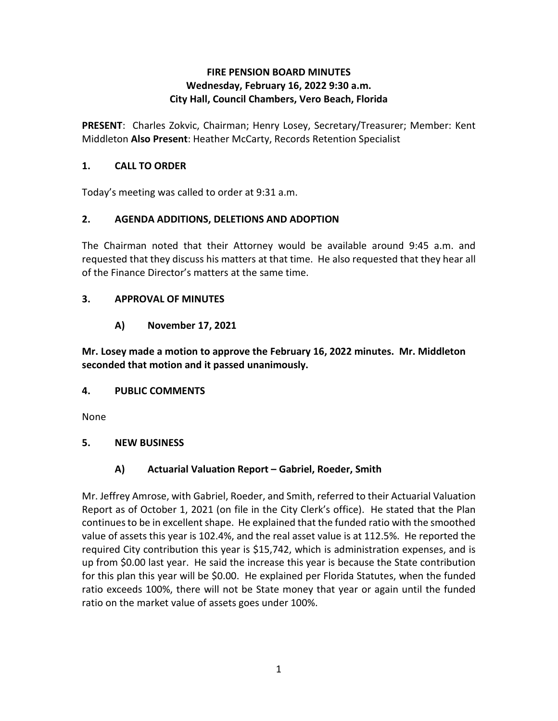### **Wednesday, February 16, 2022 9:30 a.m. FIRE PENSION BOARD MINUTES City Hall, Council Chambers, Vero Beach, Florida**

**PRESENT**: Charles Zokvic, Chairman; Henry Losey, Secretary/Treasurer; Member: Kent Middleton **Also Present**: Heather McCarty, Records Retention Specialist

## **1. CALL TO ORDER**

Today's meeting was called to order at 9:31 a.m.

## **2. AGENDA ADDITIONS, DELETIONS AND ADOPTION**

 requested that they discuss his matters at that time. He also requested that they hear all The Chairman noted that their Attorney would be available around 9:45 a.m. and of the Finance Director's matters at the same time.

## **3. APPROVAL OF MINUTES**

**A) November 17, 2021** 

**Mr. Losey made a motion to approve the February 16, 2022 minutes. Mr. Middleton seconded that motion and it passed unanimously.** 

### **4. PUBLIC COMMENTS**

None

## **5. NEW BUSINESS**

## **A) Actuarial Valuation Report – Gabriel, Roeder, Smith**

 Report as of October 1, 2021 (on file in the City Clerk's office). He stated that the Plan continues to be in excellent shape. He explained that the funded ratio with the smoothed value of assets this year is 102.4%, and the real asset value is at 112.5%. He reported the Mr. Jeffrey Amrose, with Gabriel, Roeder, and Smith, referred to their Actuarial Valuation required City contribution this year is \$15,742, which is administration expenses, and is up from \$0.00 last year. He said the increase this year is because the State contribution for this plan this year will be \$0.00. He explained per Florida Statutes, when the funded ratio exceeds 100%, there will not be State money that year or again until the funded ratio on the market value of assets goes under 100%.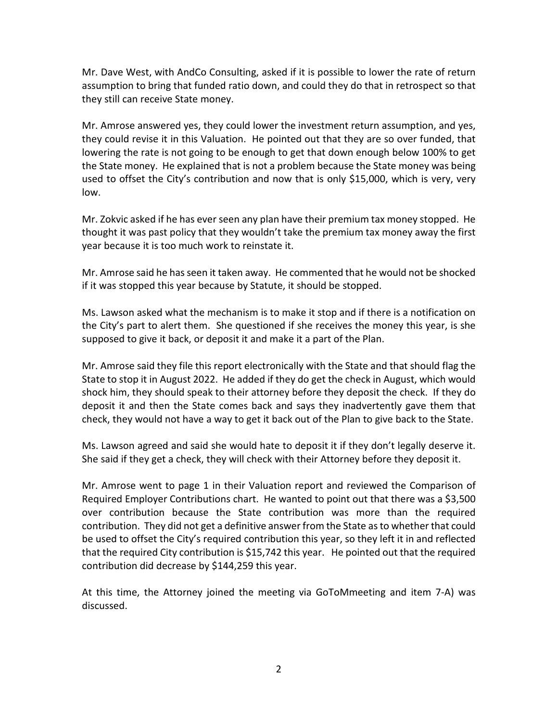Mr. Dave West, with AndCo Consulting, asked if it is possible to lower the rate of return assumption to bring that funded ratio down, and could they do that in retrospect so that they still can receive State money.

they still can receive State money.<br>Mr. Amrose answered yes, they could lower the investment return assumption, and yes, lowering the rate is not going to be enough to get that down enough below 100% to get the State money. He explained that is not a problem because the State money was being they could revise it in this Valuation. He pointed out that they are so over funded, that used to offset the City's contribution and now that is only \$15,000, which is very, very low.

 Mr. Zokvic asked if he has ever seen any plan have their premium tax money stopped. He thought it was past policy that they wouldn't take the premium tax money away the first year because it is too much work to reinstate it.

year because it is too much work to reinstate it.<br>Mr. Amrose said he has seen it taken away. He commented that he would not be shocked if it was stopped this year because by Statute, it should be stopped.

 the City's part to alert them. She questioned if she receives the money this year, is she supposed to give it back, or deposit it and make it a part of the Plan. Ms. Lawson asked what the mechanism is to make it stop and if there is a notification on

 Mr. Amrose said they file this report electronically with the State and that should flag the State to stop it in August 2022. He added if they do get the check in August, which would shock him, they should speak to their attorney before they deposit the check. If they do deposit it and then the State comes back and says they inadvertently gave them that check, they would not have a way to get it back out of the Plan to give back to the State.

 Ms. Lawson agreed and said she would hate to deposit it if they don't legally deserve it. She said if they get a check, they will check with their Attorney before they deposit it.

 contribution. They did not get a definitive answer from the State as to whether that could that the required City contribution is \$15,742 this year. He pointed out that the required contribution did decrease by \$144,259 this year. Mr. Amrose went to page 1 in their Valuation report and reviewed the Comparison of Required Employer Contributions chart. He wanted to point out that there was a \$3,500 over contribution because the State contribution was more than the required be used to offset the City's required contribution this year, so they left it in and reflected

At this time, the Attorney joined the meeting via GoToMmeeting and item 7-A) was discussed.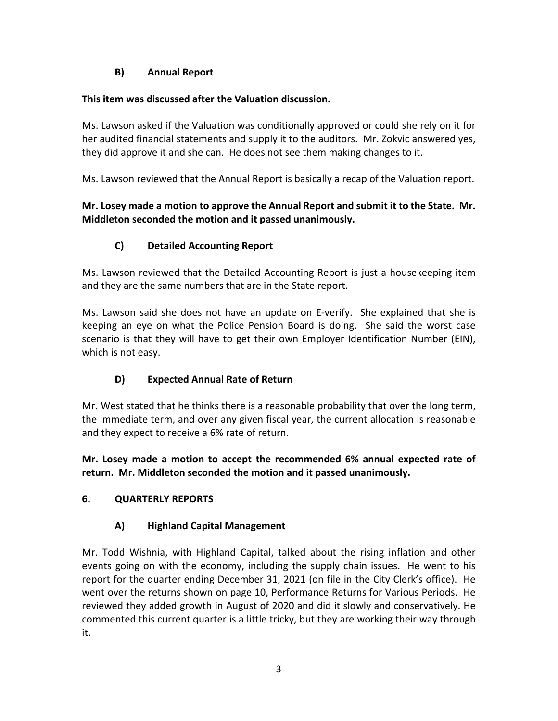## **B) Annual Report**

### **This item was discussed after the Valuation discussion.**

 they did approve it and she can. He does not see them making changes to it. Ms. Lawson asked if the Valuation was conditionally approved or could she rely on it for her audited financial statements and supply it to the auditors. Mr. Zokvic answered yes,

Ms. Lawson reviewed that the Annual Report is basically a recap of the Valuation report.

## **Mr. Losey made a motion to approve the Annual Report and submit it to the State. Mr. Middleton seconded the motion and it passed unanimously.**

# **C) Detailed Accounting Report**

 and they are the same numbers that are in the State report. Ms. Lawson reviewed that the Detailed Accounting Report is just a housekeeping item

 Ms. Lawson said she does not have an update on E-verify. She explained that she is keeping an eye on what the Police Pension Board is doing. She said the worst case scenario is that they will have to get their own Employer Identification Number (EIN), which is not easy.

## **D) Expected Annual Rate of Return**

 Mr. West stated that he thinks there is a reasonable probability that over the long term, the immediate term, and over any given fiscal year, the current allocation is reasonable and they expect to receive a 6% rate of return.

**Mr. Losey made a motion to accept the recommended 6% annual expected rate of return. Mr. Middleton seconded the motion and it passed unanimously.** 

## **6. QUARTERLY REPORTS**

## **A) Highland Capital Management**

 events going on with the economy, including the supply chain issues. He went to his report for the quarter ending December 31, 2021 (on file in the City Clerk's office). He went over the returns shown on page 10, Performance Returns for Various Periods. He Mr. Todd Wishnia, with Highland Capital, talked about the rising inflation and other reviewed they added growth in August of 2020 and did it slowly and conservatively. He commented this current quarter is a little tricky, but they are working their way through it.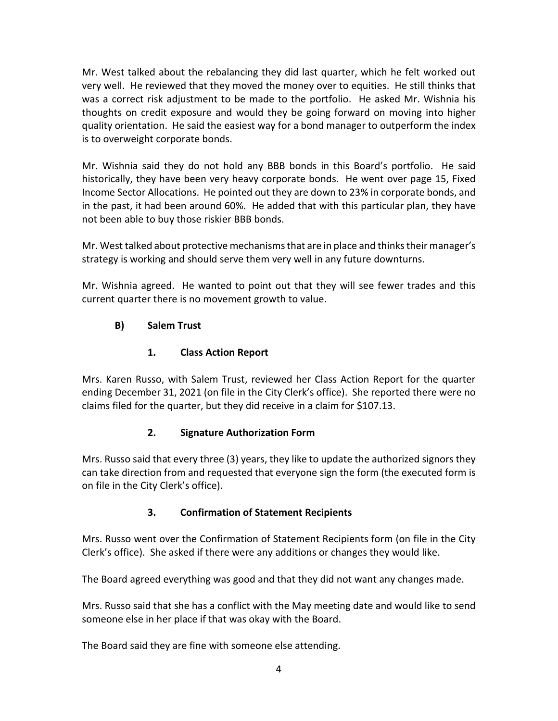very well. He reviewed that they moved the money over to equities. He still thinks that was a correct risk adjustment to be made to the portfolio. He asked Mr. Wishnia his is to overweight corporate bonds. Mr. West talked about the rebalancing they did last quarter, which he felt worked out thoughts on credit exposure and would they be going forward on moving into higher quality orientation. He said the easiest way for a bond manager to outperform the index

is to overweight corporate bonds.<br>Mr. Wishnia said they do not hold any BBB bonds in this Board's portfolio. He said historically, they have been very heavy corporate bonds. He went over page 15, Fixed in the past, it had been around 60%. He added that with this particular plan, they have not been able to buy those riskier BBB bonds. Income Sector Allocations. He pointed out they are down to 23% in corporate bonds, and

not been able to buy those riskier BBB bonds.<br>Mr. West talked about protective mechanisms that are in place and thinks their manager's strategy is working and should serve them very well in any future downturns.

strategy is working and should serve them very well in any future downturns.<br>Mr. Wishnia agreed. He wanted to point out that they will see fewer trades and this current quarter there is no movement growth to value.

# **B) Salem Trust**

# **1. Class Action Report**

 ending December 31, 2021 (on file in the City Clerk's office). She reported there were no Mrs. Karen Russo, with Salem Trust, reviewed her Class Action Report for the quarter claims filed for the quarter, but they did receive in a claim for \$107.13.

## **2. Signature Authorization Form**

 on file in the City Clerk's office). Mrs. Russo said that every three (3) years, they like to update the authorized signors they can take direction from and requested that everyone sign the form (the executed form is

## **3. Confirmation of Statement Recipients**

Mrs. Russo went over the Confirmation of Statement Recipients form (on file in the City Clerk's office). She asked if there were any additions or changes they would like.

The Board agreed everything was good and that they did not want any changes made.

 Mrs. Russo said that she has a conflict with the May meeting date and would like to send someone else in her place if that was okay with the Board.

The Board said they are fine with someone else attending.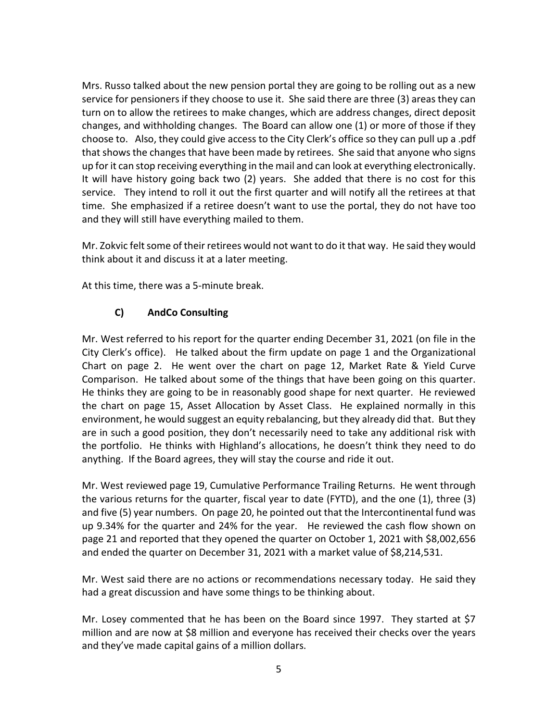Mrs. Russo talked about the new pension portal they are going to be rolling out as a new service for pensioners if they choose to use it. She said there are three (3) areas they can choose to. Also, they could give access to the City Clerk's office so they can pull up a .pdf up for it can stop receiving everything in the mail and can look at everything electronically. up for it can stop receiving everything in the mail and can look at everything electronically.<br>It will have history going back two (2) years. She added that there is no cost for this service. They intend to roll it out the first quarter and will notify all the retirees at that time. She emphasized if a retiree doesn't want to use the portal, they do not have too and they will still have everything mailed to them. turn on to allow the retirees to make changes, which are address changes, direct deposit changes, and withholding changes. The Board can allow one (1) or more of those if they that shows the changes that have been made by retirees. She said that anyone who signs

Mr. Zokvic felt some of their retirees would not want to do it that way. He said they would think about it and discuss it at a later meeting.

At this time, there was a 5-minute break.

## **C) AndCo Consulting**

 Mr. West referred to his report for the quarter ending December 31, 2021 (on file in the City Clerk's office). He talked about the firm update on page 1 and the Organizational Chart on page 2. He went over the chart on page 12, Market Rate & Yield Curve Comparison. He talked about some of the things that have been going on this quarter. environment, he would suggest an equity rebalancing, but they already did that. But they the portfolio. He thinks with Highland's allocations, he doesn't think they need to do He thinks they are going to be in reasonably good shape for next quarter. He reviewed the chart on page 15, Asset Allocation by Asset Class. He explained normally in this are in such a good position, they don't necessarily need to take any additional risk with anything. If the Board agrees, they will stay the course and ride it out.

 Mr. West reviewed page 19, Cumulative Performance Trailing Returns. He went through and five (5) year numbers. On page 20, he pointed out that the Intercontinental fund was up 9.34% for the quarter and 24% for the year. He reviewed the cash flow shown on and ended the quarter on December 31, 2021 with a market value of \$8,214,531. the various returns for the quarter, fiscal year to date (FYTD), and the one (1), three (3) page 21 and reported that they opened the quarter on October 1, 2021 with \$8,002,656

 Mr. West said there are no actions or recommendations necessary today. He said they had a great discussion and have some things to be thinking about.

 million and are now at \$8 million and everyone has received their checks over the years and they've made capital gains of a million dollars. Mr. Losey commented that he has been on the Board since 1997. They started at \$7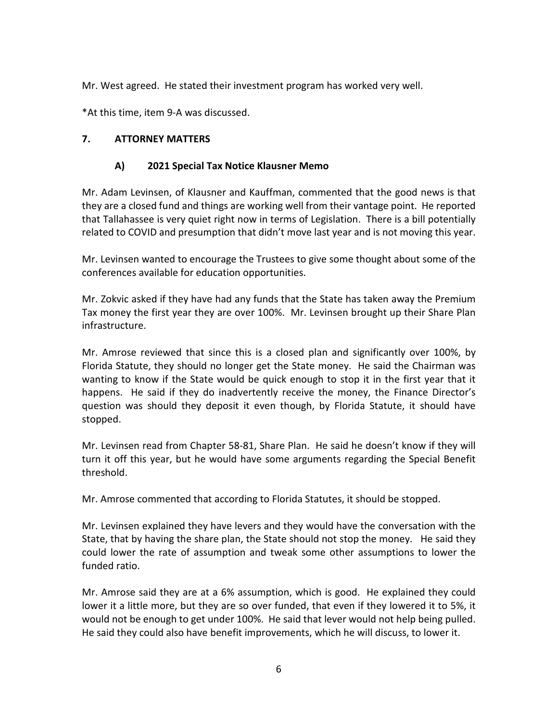Mr. West agreed. He stated their investment program has worked very well.

\*At this time, item 9-A was discussed.

### **7. ATTORNEY MATTERS**

#### **A) 2021 Special Tax Notice Klausner Memo**

 that Tallahassee is very quiet right now in terms of Legislation. There is a bill potentially related to COVID and presumption that didn't move last year and is not moving this year. Mr. Adam Levinsen, of Klausner and Kauffman, commented that the good news is that they are a closed fund and things are working well from their vantage point. He reported

conferences available for education opportunities. Mr. Levinsen wanted to encourage the Trustees to give some thought about some of the

conferences available for education opportunities.<br>Mr. Zokvic asked if they have had any funds that the State has taken away the Premium Tax money the first year they are over 100%. Mr. Levinsen brought up their Share Plan infrastructure.

 Florida Statute, they should no longer get the State money. He said the Chairman was happens. He said if they do inadvertently receive the money, the Finance Director's stopped. Mr. Amrose reviewed that since this is a closed plan and significantly over 100%, by wanting to know if the State would be quick enough to stop it in the first year that it question was should they deposit it even though, by Florida Statute, it should have

threshold. Mr. Levinsen read from Chapter 58-81, Share Plan. He said he doesn't know if they will turn it off this year, but he would have some arguments regarding the Special Benefit

threshold.<br>Mr. Amrose commented that according to Florida Statutes, it should be stopped.

 Mr. Levinsen explained they have levers and they would have the conversation with the State, that by having the share plan, the State should not stop the money. He said they could lower the rate of assumption and tweak some other assumptions to lower the funded ratio.

funded ratio.<br>Mr. Amrose said they are at a 6% assumption, which is good. He explained they could lower it a little more, but they are so over funded, that even if they lowered it to 5%, it would not be enough to get under 100%. He said that lever would not help being pulled.<br>He said they could also have benefit improvements, which he will discuss, to lower it. He said they could also have benefit improvements, which he will discuss, to lower it.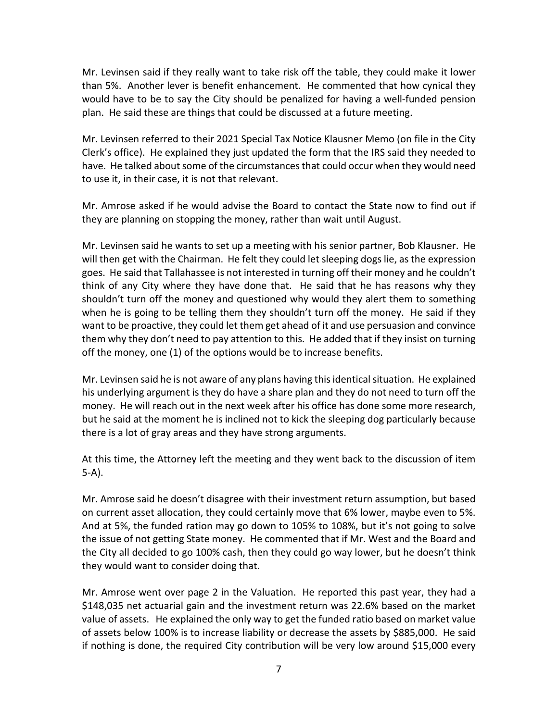Mr. Levinsen said if they really want to take risk off the table, they could make it lower than 5%. Another lever is benefit enhancement. He commented that how cynical they would have to be to say the City should be penalized for having a well-funded pension plan. He said these are things that could be discussed at a future meeting.

 Mr. Levinsen referred to their 2021 Special Tax Notice Klausner Memo (on file in the City to use it, in their case, it is not that relevant. Clerk's office). He explained they just updated the form that the IRS said they needed to have. He talked about some of the circumstances that could occur when they would need

Mr. Amrose asked if he would advise the Board to contact the State now to find out if they are planning on stopping the money, rather than wait until August.

 Mr. Levinsen said he wants to set up a meeting with his senior partner, Bob Klausner. He goes. He said that Tallahassee is not interested in turning off their money and he couldn't think of any City where they have done that. He said that he has reasons why they when he is going to be telling them they shouldn't turn off the money. He said if they want to be proactive, they could let them get ahead of it and use persuasion and convince them why they don't need to pay attention to this. He added that if they insist on turning off the money, one (1) of the options would be to increase benefits. will then get with the Chairman. He felt they could let sleeping dogs lie, as the expression shouldn't turn off the money and questioned why would they alert them to something

 Mr. Levinsen said he is not aware of any plans having this identical situation. He explained his underlying argument is they do have a share plan and they do not need to turn off the money. He will reach out in the next week after his office has done some more research, there is a lot of gray areas and they have strong arguments. but he said at the moment he is inclined not to kick the sleeping dog particularly because

there is a lot of gray areas and they have strong arguments.<br>At this time, the Attorney left the meeting and they went back to the discussion of item 5-A).

 on current asset allocation, they could certainly move that 6% lower, maybe even to 5%. And at 5%, the funded ration may go down to 105% to 108%, but it's not going to solve the issue of not getting State money. He commented that if Mr. West and the Board and the City all decided to go 100% cash, then they could go way lower, but he doesn't think they would want to consider doing that. Mr. Amrose said he doesn't disagree with their investment return assumption, but based

 Mr. Amrose went over page 2 in the Valuation. He reported this past year, they had a value of assets. He explained the only way to get the funded ratio based on market value if nothing is done, the required City contribution will be very low around \$15,000 every \$148,035 net actuarial gain and the investment return was 22.6% based on the market of assets below 100% is to increase liability or decrease the assets by \$885,000. He said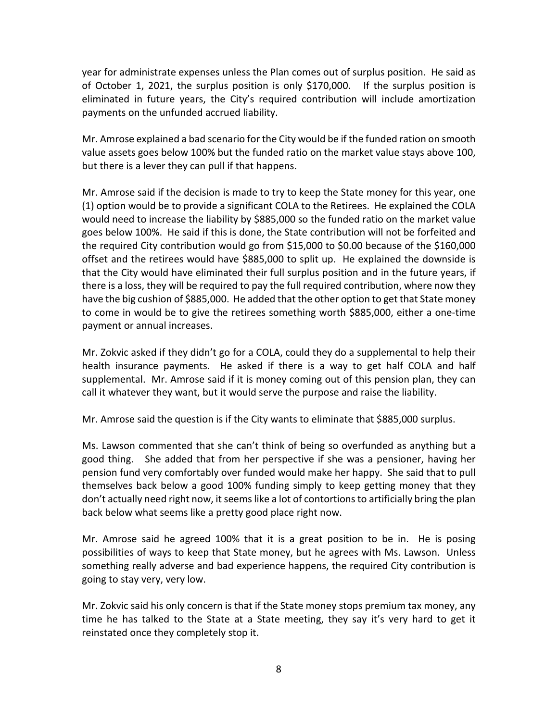year for administrate expenses unless the Plan comes out of surplus position. He said as of October 1, 2021, the surplus position is only \$170,000. If the surplus position is eliminated in future years, the City's required contribution will include amortization payments on the unfunded accrued liability.

 Mr. Amrose explained a bad scenario for the City would be if the funded ration on smooth value assets goes below 100% but the funded ratio on the market value stays above 100, but there is a lever they can pull if that happens.

 Mr. Amrose said if the decision is made to try to keep the State money for this year, one would need to increase the liability by \$885,000 so the funded ratio on the market value goes below 100%. He said if this is done, the State contribution will not be forfeited and the required City contribution would go from \$15,000 to \$0.00 because of the \$160,000 offset and the retirees would have \$885,000 to split up. He explained the downside is there is a loss, they will be required to pay the full required contribution, where now they have the big cushion of \$885,000. He added that the other option to get that State money payment or annual increases. (1) option would be to provide a significant COLA to the Retirees. He explained the COLA that the City would have eliminated their full surplus position and in the future years, if to come in would be to give the retirees something worth \$885,000, either a one-time

 health insurance payments. He asked if there is a way to get half COLA and half supplemental. Mr. Amrose said if it is money coming out of this pension plan, they can call it whatever they want, but it would serve the purpose and raise the liability. Mr. Zokvic asked if they didn't go for a COLA, could they do a supplemental to help their

Mr. Amrose said the question is if the City wants to eliminate that \$885,000 surplus.

 good thing. She added that from her perspective if she was a pensioner, having her pension fund very comfortably over funded would make her happy. She said that to pull don't actually need right now, it seems like a lot of contortions to artificially bring the plan back below what seems like a pretty good place right now. Ms. Lawson commented that she can't think of being so overfunded as anything but a themselves back below a good 100% funding simply to keep getting money that they

back below what seems like a pretty good place right now.<br>Mr. Amrose said he agreed 100% that it is a great position to be in. He is posing possibilities of ways to keep that State money, but he agrees with Ms. Lawson. Unless something really adverse and bad experience happens, the required City contribution is going to stay very, very low.

 time he has talked to the State at a State meeting, they say it's very hard to get it reinstated once they completely stop it.<br>8 Mr. Zokvic said his only concern is that if the State money stops premium tax money, any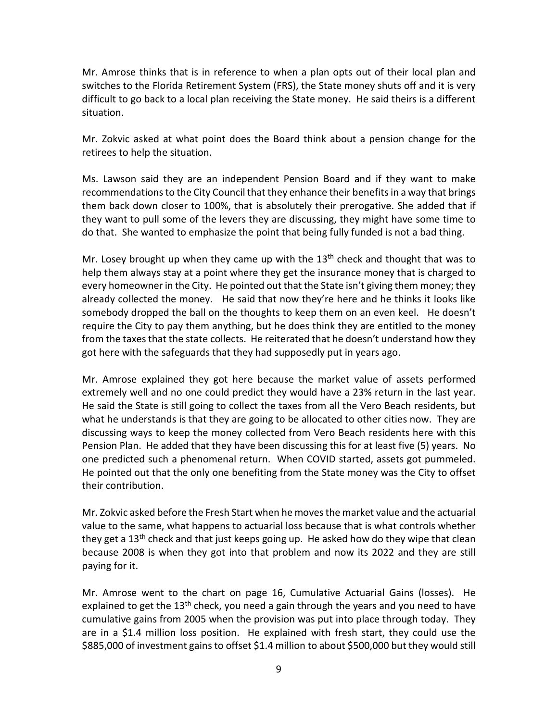Mr. Amrose thinks that is in reference to when a plan opts out of their local plan and switches to the Florida Retirement System (FRS), the State money shuts off and it is very difficult to go back to a local plan receiving the State money. He said theirs is a different situation.

 Mr. Zokvic asked at what point does the Board think about a pension change for the retirees to help the situation.

retirees to help the situation.<br>Ms. Lawson said they are an independent Pension Board and if they want to make recommendations to the City Council that they enhance their benefits in a way that brings them back down closer to 100%, that is absolutely their prerogative. She added that if they want to pull some of the levers they are discussing, they might have some time to do that. She wanted to emphasize the point that being fully funded is not a bad thing.

Mr. Losey brought up when they came up with the 13<sup>th</sup> check and thought that was to every homeowner in the City. He pointed out that the State isn't giving them money; they already collected the money. He said that now they're here and he thinks it looks like somebody dropped the ball on the thoughts to keep them on an even keel. He doesn't require the City to pay them anything, but he does think they are entitled to the money from the taxes that the state collects. He reiterated that he doesn't understand how they got here with the safeguards that they had supposedly put in years ago. help them always stay at a point where they get the insurance money that is charged to

 Mr. Amrose explained they got here because the market value of assets performed extremely well and no one could predict they would have a 23% return in the last year. He said the State is still going to collect the taxes from all the Vero Beach residents, but Pension Plan. He added that they have been discussing this for at least five (5) years. No one predicted such a phenomenal return. When COVID started, assets got pummeled. He pointed out that the only one benefiting from the State money was the City to offset their contribution. what he understands is that they are going to be allocated to other cities now. They are discussing ways to keep the money collected from Vero Beach residents here with this

their contribution.<br>Mr. Zokvic asked before the Fresh Start when he moves the market value and the actuarial value to the same, what happens to actuarial loss because that is what controls whether they get a 13<sup>th</sup> check and that just keeps going up. He asked how do they wipe that clean paying for it. because 2008 is when they got into that problem and now its 2022 and they are still

 Mr. Amrose went to the chart on page 16, Cumulative Actuarial Gains (losses). He explained to get the 13<sup>th</sup> check, you need a gain through the years and you need to have are in a \$1.4 million loss position. He explained with fresh start, they could use the cumulative gains from 2005 when the provision was put into place through today. They \$885,000 of investment gains to offset \$1.4 million to about \$500,000 but they would still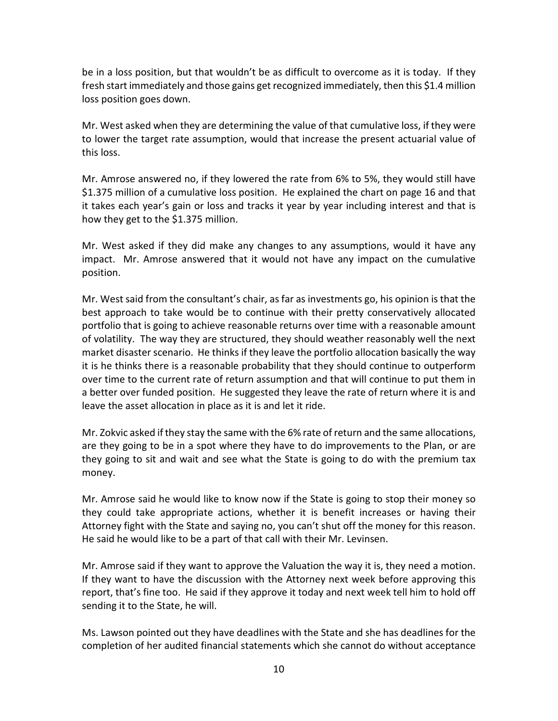be in a loss position, but that wouldn't be as difficult to overcome as it is today. If they fresh start immediately and those gains get recognized immediately, then this \$1.4 million loss position goes down.

 Mr. West asked when they are determining the value of that cumulative loss, if they were this loss. to lower the target rate assumption, would that increase the present actuarial value of

this loss.<br>Mr. Amrose answered no, if they lowered the rate from 6% to 5%, they would still have \$1.375 million of a cumulative loss position. He explained the chart on page 16 and that how they get to the \$1.375 million. it takes each year's gain or loss and tracks it year by year including interest and that is

how they get to the \$1.375 million.<br>Mr. West asked if they did make any changes to any assumptions, would it have any impact. Mr. Amrose answered that it would not have any impact on the cumulative position.

position.<br>Mr. West said from the consultant's chair, as far as investments go, his opinion is that the best approach to take would be to continue with their pretty conservatively allocated of volatility. The way they are structured, they should weather reasonably well the next it is he thinks there is a reasonable probability that they should continue to outperform over time to the current rate of return assumption and that will continue to put them in leave the asset allocation in place as it is and let it ride. portfolio that is going to achieve reasonable returns over time with a reasonable amount market disaster scenario. He thinks if they leave the portfolio allocation basically the way a better over funded position. He suggested they leave the rate of return where it is and

leave the asset allocation in place as it is and let it ride.<br>Mr. Zokvic asked if they stay the same with the 6% rate of return and the same allocations, they going to sit and wait and see what the State is going to do with the premium tax money. are they going to be in a spot where they have to do improvements to the Plan, or are

money.<br>Mr. Amrose said he would like to know now if the State is going to stop their money so they could take appropriate actions, whether it is benefit increases or having their Attorney fight with the State and saying no, you can't shut off the money for this reason.<br>He said he would like to be a part of that call with their Mr. Levinsen.

 Mr. Amrose said if they want to approve the Valuation the way it is, they need a motion. If they want to have the discussion with the Attorney next week before approving this report, that's fine too. He said if they approve it today and next week tell him to hold off sending it to the State, he will.

 Ms. Lawson pointed out they have deadlines with the State and she has deadlines for the completion of her audited financial statements which she cannot do without acceptance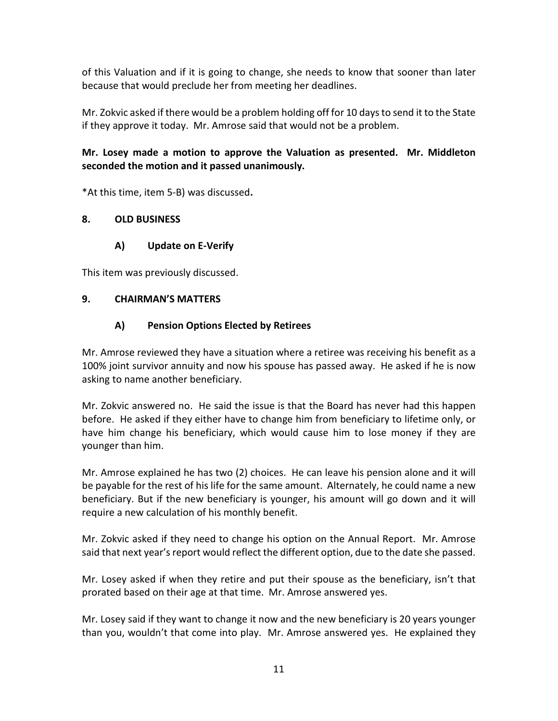because that would preclude her from meeting her deadlines. of this Valuation and if it is going to change, she needs to know that sooner than later

because that would preclude her from meeting her deadlines.<br>Mr. Zokvic asked if there would be a problem holding off for 10 days to send it to the State if they approve it today. Mr. Amrose said that would not be a problem.

## **Mr. Losey made a motion to approve the Valuation as presented. Mr. Middleton seconded the motion and it passed unanimously.**

\*At this time, item 5-B) was discussed**.** 

### **8. OLD BUSINESS**

## **A) Update on E-Verify**

This item was previously discussed.

#### **9. CHAIRMAN'S MATTERS**

### **A) Pension Options Elected by Retirees**

 Mr. Amrose reviewed they have a situation where a retiree was receiving his benefit as a asking to name another beneficiary. 100% joint survivor annuity and now his spouse has passed away. He asked if he is now

 before. He asked if they either have to change him from beneficiary to lifetime only, or have him change his beneficiary, which would cause him to lose money if they are younger than him. Mr. Zokvic answered no. He said the issue is that the Board has never had this happen

 be payable for the rest of his life for the same amount. Alternately, he could name a new beneficiary. But if the new beneficiary is younger, his amount will go down and it will require a new calculation of his monthly benefit. Mr. Amrose explained he has two (2) choices. He can leave his pension alone and it will

Mr. Zokvic asked if they need to change his option on the Annual Report. Mr. Amrose said that next year's report would reflect the different option, due to the date she passed.

 Mr. Losey asked if when they retire and put their spouse as the beneficiary, isn't that prorated based on their age at that time. Mr. Amrose answered yes.

 Mr. Losey said if they want to change it now and the new beneficiary is 20 years younger than you, wouldn't that come into play. Mr. Amrose answered yes. He explained they